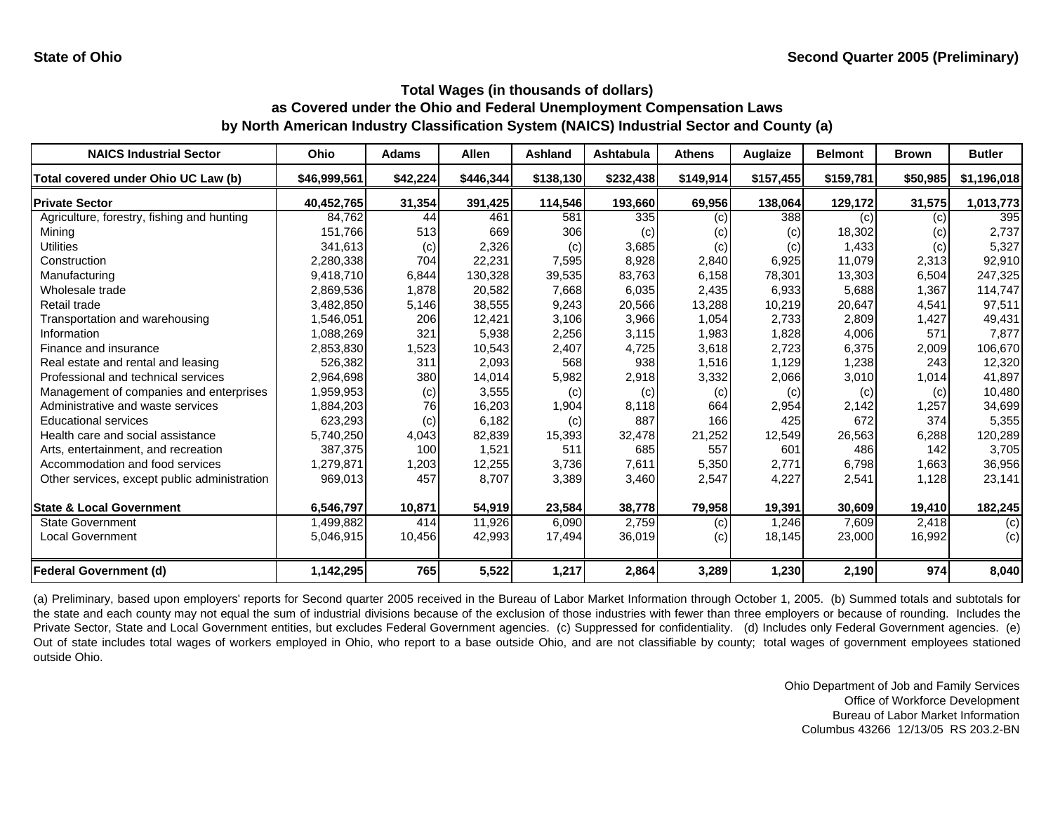| <b>NAICS Industrial Sector</b>               | Ohio         | <b>Adams</b> | <b>Allen</b> | <b>Ashland</b> | Ashtabula | <b>Athens</b> | Auglaize  | <b>Belmont</b> | <b>Brown</b> | <b>Butler</b> |
|----------------------------------------------|--------------|--------------|--------------|----------------|-----------|---------------|-----------|----------------|--------------|---------------|
| Total covered under Ohio UC Law (b)          | \$46,999,561 | \$42,224     | \$446,344    | \$138,130      | \$232,438 | \$149,914     | \$157,455 | \$159,781      | \$50,985     | \$1,196,018   |
| <b>Private Sector</b>                        | 40,452,765   | 31,354       | 391,425      | 114,546        | 193,660   | 69,956        | 138,064   | 129,172        | 31,575       | 1,013,773     |
| Agriculture, forestry, fishing and hunting   | 84,762       | 44           | 461          | 581            | 335       | (c)           | 388       | (c)            | (c)          | 395           |
| Mining                                       | 151,766      | 513          | 669          | 306            | (c)       | (c)           | (c)       | 18,302         | (c)          | 2,737         |
| <b>Utilities</b>                             | 341,613      | (c)          | 2,326        | (c)            | 3,685     | (c)           | (c)       | 1,433          | (c)          | 5,327         |
| Construction                                 | 2,280,338    | 704          | 22,231       | 7,595          | 8,928     | 2,840         | 6,925     | 11,079         | 2,313        | 92,910        |
| Manufacturing                                | 9,418,710    | 6,844        | 130,328      | 39,535         | 83,763    | 6,158         | 78,301    | 13,303         | 6,504        | 247,325       |
| Wholesale trade                              | 2,869,536    | 1,878        | 20,582       | 7,668          | 6,035     | 2,435         | 6,933     | 5,688          | 1,367        | 114,747       |
| Retail trade                                 | 3,482,850    | 5,146        | 38,555       | 9,243          | 20,566    | 13,288        | 10,219    | 20,647         | 4,541        | 97,511        |
| Transportation and warehousing               | 1,546,051    | 206          | 12,421       | 3,106          | 3,966     | 1,054         | 2,733     | 2,809          | 1,427        | 49,431        |
| Information                                  | 1,088,269    | 321          | 5,938        | 2,256          | 3,115     | 1,983         | 1,828     | 4,006          | 571          | 7,877         |
| Finance and insurance                        | 2,853,830    | 1,523        | 10,543       | 2,407          | 4,725     | 3,618         | 2,723     | 6,375          | 2,009        | 106,670       |
| Real estate and rental and leasing           | 526,382      | 311          | 2,093        | 568            | 938       | 1,516         | 1,129     | 1,238          | 243          | 12,320        |
| Professional and technical services          | 2,964,698    | 380          | 14,014       | 5,982          | 2,918     | 3,332         | 2,066     | 3,010          | 1,014        | 41,897        |
| Management of companies and enterprises      | 1,959,953    | (c)          | 3,555        | (c)            | (c)       | (c)           | (c)       | (c)            | (c)          | 10,480        |
| Administrative and waste services            | 1,884,203    | 76           | 16,203       | 1,904          | 8,118     | 664           | 2,954     | 2,142          | 1,257        | 34,699        |
| <b>Educational services</b>                  | 623,293      | (c)          | 6,182        | (c)            | 887       | 166           | 425       | 672            | 374          | 5,355         |
| Health care and social assistance            | 5,740,250    | 4,043        | 82,839       | 15,393         | 32,478    | 21,252        | 12,549    | 26,563         | 6,288        | 120,289       |
| Arts, entertainment, and recreation          | 387,375      | 100          | 1,521        | 511            | 685       | 557           | 601       | 486            | 142          | 3,705         |
| Accommodation and food services              | 1,279,871    | 1,203        | 12,255       | 3,736          | 7,611     | 5,350         | 2,771     | 6,798          | 1,663        | 36,956        |
| Other services, except public administration | 969,013      | 457          | 8,707        | 3,389          | 3,460     | 2,547         | 4,227     | 2,541          | 1,128        | 23,141        |
| <b>State &amp; Local Government</b>          | 6,546,797    | 10,871       | 54,919       | 23,584         | 38,778    | 79,958        | 19,391    | 30,609         | 19,410       | 182,245       |
| <b>State Government</b>                      | 1,499,882    | 414          | 11,926       | 6,090          | 2,759     | (c)           | 1,246     | 7,609          | 2,418        | (c)           |
| <b>Local Government</b>                      | 5,046,915    | 10,456       | 42,993       | 17,494         | 36,019    | (c)           | 18,145    | 23,000         | 16,992       | (c)           |
| <b>Federal Government (d)</b>                | 1,142,295    | 765          | 5,522        | 1,217          | 2,864     | 3,289         | 1,230     | 2,190          | 974          | 8,040         |

(a) Preliminary, based upon employers' reports for Second quarter 2005 received in the Bureau of Labor Market Information through October 1, 2005. (b) Summed totals and subtotals for the state and each county may not equal the sum of industrial divisions because of the exclusion of those industries with fewer than three employers or because of rounding. Includes the Private Sector, State and Local Government entities, but excludes Federal Government agencies. (c) Suppressed for confidentiality. (d) Includes only Federal Government agencies. (e) Out of state includes total wages of workers employed in Ohio, who report to a base outside Ohio, and are not classifiable by county; total wages of government employees stationed outside Ohio.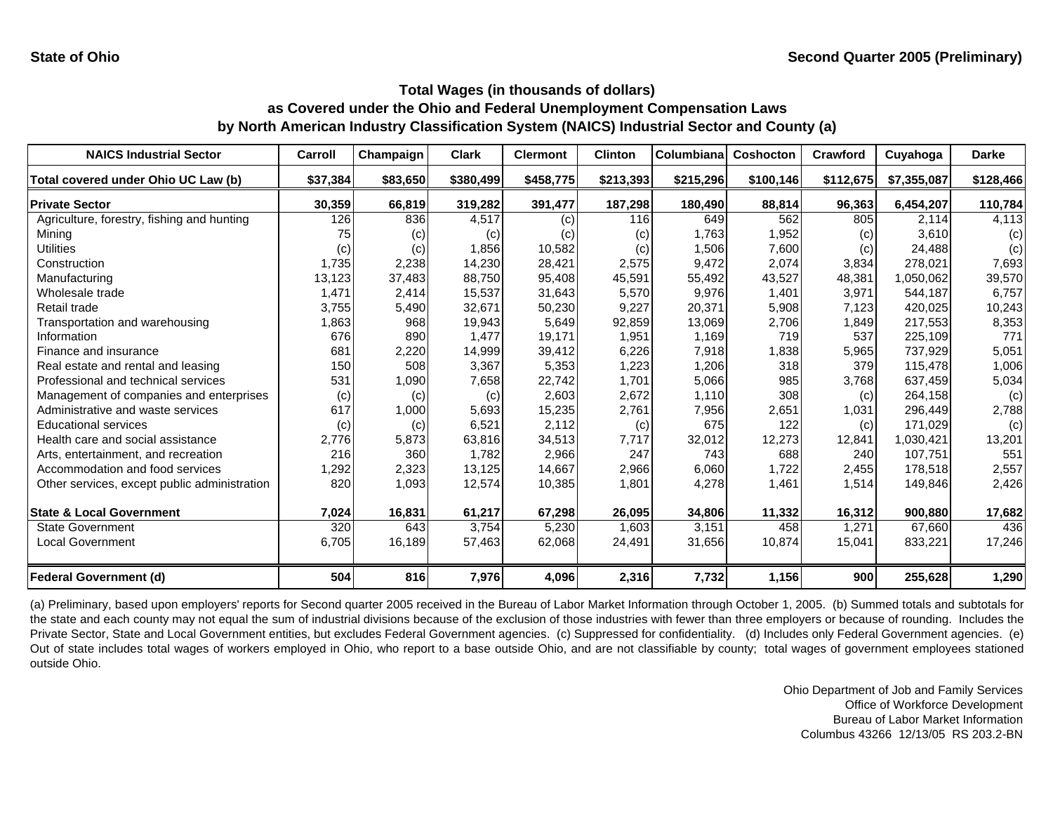| <b>NAICS Industrial Sector</b>               | Carroll  | Champaign | <b>Clark</b> | <b>Clermont</b> | <b>Clinton</b> | Columbiana | <b>Coshocton</b> | Crawford  | Cuyahoga    | <b>Darke</b> |
|----------------------------------------------|----------|-----------|--------------|-----------------|----------------|------------|------------------|-----------|-------------|--------------|
| Total covered under Ohio UC Law (b)          | \$37,384 | \$83,650  | \$380,499    | \$458,775       | \$213,393      | \$215,296  | \$100,146        | \$112,675 | \$7,355,087 | \$128,466    |
| <b>Private Sector</b>                        | 30,359   | 66,819    | 319,282      | 391,477         | 187,298        | 180,490    | 88,814           | 96,363    | 6,454,207   | 110,784      |
| Agriculture, forestry, fishing and hunting   | 126      | 836       | 4,517        | (c)             | 116            | 649        | 562              | 805       | 2.114       | 4,113        |
| Mining                                       | 75       | (c)       | (c)          | (c)             | (c)            | 1,763      | 1,952            | (c)       | 3,610       | (c)          |
| <b>Utilities</b>                             | (c)      | (c)       | 1,856        | 10,582          | (c)            | 1,506      | 7,600            | (c)       | 24.488      | (c)          |
| Construction                                 | 1,735    | 2,238     | 14,230       | 28,421          | 2,575          | 9,472      | 2,074            | 3,834     | 278,021     | 7,693        |
| Manufacturing                                | 13,123   | 37,483    | 88,750       | 95,408          | 45,591         | 55,492     | 43,527           | 48,381    | 1,050,062   | 39,570       |
| Wholesale trade                              | 1,471    | 2,414     | 15,537       | 31,643          | 5,570          | 9,976      | 1,401            | 3,971     | 544,187     | 6,757        |
| Retail trade                                 | 3,755    | 5,490     | 32,671       | 50,230          | 9,227          | 20,371     | 5,908            | 7,123     | 420,025     | 10,243       |
| Transportation and warehousing               | 1,863    | 968       | 19,943       | 5,649           | 92,859         | 13,069     | 2,706            | 1,849     | 217,553     | 8,353        |
| Information                                  | 676      | 890       | 1,477        | 19,171          | 1,951          | 1,169      | 719              | 537       | 225,109     | 771          |
| Finance and insurance                        | 681      | 2,220     | 14,999       | 39,412          | 6,226          | 7,918      | 1,838            | 5,965     | 737,929     | 5,051        |
| Real estate and rental and leasing           | 150      | 508       | 3,367        | 5,353           | 1,223          | 1,206      | 318              | 379       | 115,478     | 1,006        |
| Professional and technical services          | 531      | 1,090     | 7,658        | 22,742          | 1,701          | 5,066      | 985              | 3,768     | 637,459     | 5,034        |
| Management of companies and enterprises      | (c)      | (c)       | (c)          | 2,603           | 2,672          | 1,110      | 308              | (c)       | 264,158     | (c)          |
| Administrative and waste services            | 617      | 1,000     | 5,693        | 15,235          | 2,761          | 7,956      | 2,651            | 1,031     | 296,449     | 2,788        |
| <b>Educational services</b>                  | (c)      | (c)       | 6,521        | 2,112           | (c)            | 675        | 122              | (c)       | 171,029     | (c)          |
| Health care and social assistance            | 2,776    | 5,873     | 63,816       | 34,513          | 7,717          | 32,012     | 12,273           | 12,841    | 1,030,421   | 13,201       |
| Arts, entertainment, and recreation          | 216      | 360       | 1.782        | 2,966           | 247            | 743        | 688              | 240       | 107.751     | 551          |
| Accommodation and food services              | 1,292    | 2,323     | 13,125       | 14,667          | 2,966          | 6,060      | 1,722            | 2,455     | 178,518     | 2,557        |
| Other services, except public administration | 820      | 1,093     | 12,574       | 10,385          | 1,801          | 4,278      | 1,461            | 1,514     | 149,846     | 2,426        |
| <b>State &amp; Local Government</b>          | 7,024    | 16,831    | 61,217       | 67,298          | 26,095         | 34,806     | 11,332           | 16,312    | 900,880     | 17,682       |
| <b>State Government</b>                      | 320      | 643       | 3,754        | 5,230           | 1,603          | 3,151      | 458              | 1,271     | 67,660      | 436          |
| <b>Local Government</b>                      | 6,705    | 16,189    | 57,463       | 62,068          | 24,491         | 31,656     | 10,874           | 15,041    | 833,221     | 17,246       |
| Federal Government (d)                       | 504      | 816       | 7,976        | 4,096           | 2,316          | 7,732      | 1,156            | 900       | 255,628     | 1,290        |

(a) Preliminary, based upon employers' reports for Second quarter 2005 received in the Bureau of Labor Market Information through October 1, 2005. (b) Summed totals and subtotals for the state and each county may not equal the sum of industrial divisions because of the exclusion of those industries with fewer than three employers or because of rounding. Includes the Private Sector, State and Local Government entities, but excludes Federal Government agencies. (c) Suppressed for confidentiality. (d) Includes only Federal Government agencies. (e) Out of state includes total wages of workers employed in Ohio, who report to a base outside Ohio, and are not classifiable by county; total wages of government employees stationed outside Ohio.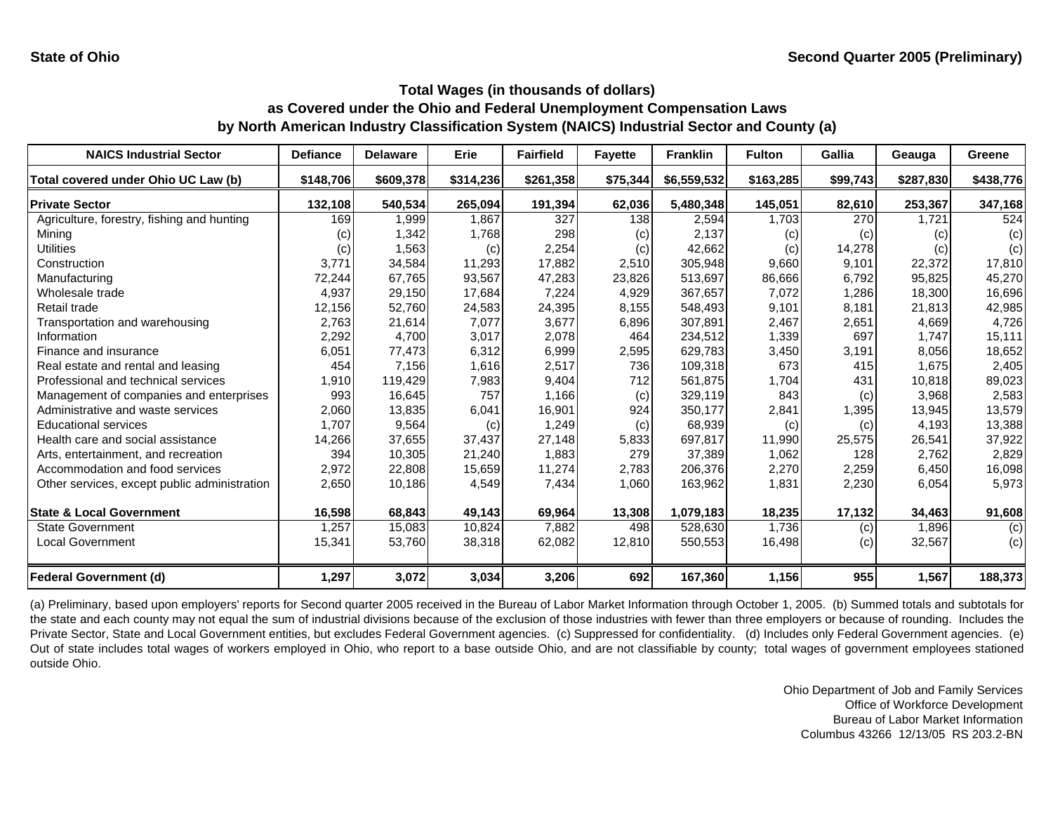| <b>NAICS Industrial Sector</b>               | <b>Defiance</b> | <b>Delaware</b> | Erie      | <b>Fairfield</b> | <b>Fayette</b> | <b>Franklin</b> | <b>Fulton</b> | Gallia   | Geauga    | Greene    |
|----------------------------------------------|-----------------|-----------------|-----------|------------------|----------------|-----------------|---------------|----------|-----------|-----------|
| Total covered under Ohio UC Law (b)          | \$148,706       | \$609,378       | \$314,236 | \$261,358        | \$75,344       | \$6,559,532     | \$163,285     | \$99,743 | \$287,830 | \$438,776 |
| <b>Private Sector</b>                        | 132,108         | 540,534         | 265,094   | 191,394          | 62,036         | 5,480,348       | 145,051       | 82,610   | 253,367   | 347,168   |
| Agriculture, forestry, fishing and hunting   | 169             | 1.999           | 1,867     | 327              | 138            | 2,594           | 1.703         | 270      | 1,721     | 524       |
| Mining                                       | (c)             | 1,342           | 1,768     | 298              | (c)            | 2,137           | (c)           | (c)      | (c)       | (c)       |
| <b>Utilities</b>                             | (c)             | 1,563           | (c)       | 2,254            | (c)            | 42,662          | (c)           | 14,278   | (c)       | (c)       |
| Construction                                 | 3,771           | 34,584          | 11,293    | 17,882           | 2,510          | 305,948         | 9,660         | 9,101    | 22,372    | 17,810    |
| Manufacturing                                | 72,244          | 67,765          | 93,567    | 47,283           | 23,826         | 513,697         | 86,666        | 6,792    | 95,825    | 45,270    |
| Wholesale trade                              | 4,937           | 29,150          | 17,684    | 7,224            | 4,929          | 367,657         | 7,072         | 1,286    | 18,300    | 16,696    |
| Retail trade                                 | 12,156          | 52,760          | 24,583    | 24,395           | 8,155          | 548,493         | 9,101         | 8,181    | 21,813    | 42,985    |
| Transportation and warehousing               | 2,763           | 21,614          | 7,077     | 3,677            | 6,896          | 307,891         | 2,467         | 2,651    | 4,669     | 4,726     |
| Information                                  | 2,292           | 4,700           | 3,017     | 2,078            | 464            | 234,512         | 1,339         | 697      | 1,747     | 15,111    |
| Finance and insurance                        | 6,051           | 77,473          | 6,312     | 6,999            | 2,595          | 629,783         | 3,450         | 3,191    | 8,056     | 18,652    |
| Real estate and rental and leasing           | 454             | 7,156           | 1,616     | 2,517            | 736            | 109,318         | 673           | 415      | 1,675     | 2,405     |
| Professional and technical services          | 1,910           | 119,429         | 7,983     | 9,404            | 712            | 561,875         | 1,704         | 431      | 10,818    | 89,023    |
| Management of companies and enterprises      | 993             | 16,645          | 757       | 1,166            | (c)            | 329,119         | 843           | (c)      | 3,968     | 2,583     |
| Administrative and waste services            | 2,060           | 13,835          | 6,041     | 16,901           | 924            | 350,177         | 2,841         | 1,395    | 13,945    | 13,579    |
| <b>Educational services</b>                  | 1,707           | 9,564           | (c)       | 1,249            | (c)            | 68,939          | (c)           | (c)      | 4,193     | 13,388    |
| Health care and social assistance            | 14,266          | 37,655          | 37,437    | 27,148           | 5,833          | 697,817         | 11,990        | 25,575   | 26,541    | 37,922    |
| Arts, entertainment, and recreation          | 394             | 10,305          | 21,240    | 1,883            | 279            | 37,389          | 1,062         | 128      | 2,762     | 2,829     |
| Accommodation and food services              | 2,972           | 22,808          | 15,659    | 11,274           | 2,783          | 206,376         | 2,270         | 2,259    | 6,450     | 16,098    |
| Other services, except public administration | 2,650           | 10,186          | 4,549     | 7,434            | 1,060          | 163,962         | 1,831         | 2,230    | 6,054     | 5,973     |
| <b>State &amp; Local Government</b>          | 16,598          | 68,843          | 49,143    | 69,964           | 13,308         | 1,079,183       | 18,235        | 17,132   | 34,463    | 91,608    |
| <b>State Government</b>                      | 1,257           | 15,083          | 10,824    | 7,882            | 498            | 528,630         | 1,736         | (c)      | 1,896     | (c)       |
| <b>Local Government</b>                      | 15,341          | 53,760          | 38,318    | 62,082           | 12,810         | 550,553         | 16,498        | (c)      | 32,567    | (c)       |
| <b>Federal Government (d)</b>                | 1,297           | 3,072           | 3,034     | 3,206            | 692            | 167,360         | 1,156         | 955      | 1,567     | 188,373   |

(a) Preliminary, based upon employers' reports for Second quarter 2005 received in the Bureau of Labor Market Information through October 1, 2005. (b) Summed totals and subtotals for the state and each county may not equal the sum of industrial divisions because of the exclusion of those industries with fewer than three employers or because of rounding. Includes the Private Sector, State and Local Government entities, but excludes Federal Government agencies. (c) Suppressed for confidentiality. (d) Includes only Federal Government agencies. (e) Out of state includes total wages of workers employed in Ohio, who report to a base outside Ohio, and are not classifiable by county; total wages of government employees stationed outside Ohio.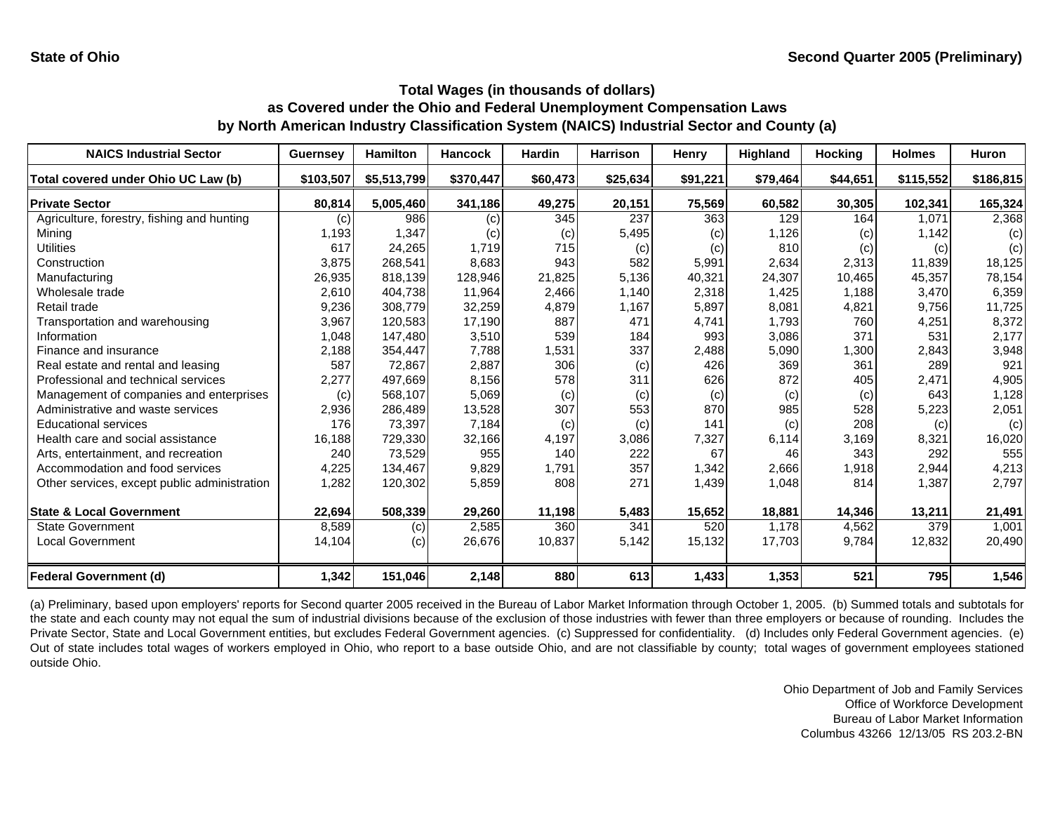| <b>NAICS Industrial Sector</b>               | <b>Guernsey</b> | <b>Hamilton</b> | <b>Hancock</b> | <b>Hardin</b> | <b>Harrison</b> | Henry    | <b>Highland</b> | <b>Hocking</b> | <b>Holmes</b> | <b>Huron</b> |
|----------------------------------------------|-----------------|-----------------|----------------|---------------|-----------------|----------|-----------------|----------------|---------------|--------------|
| Total covered under Ohio UC Law (b)          | \$103,507       | \$5,513,799     | \$370,447      | \$60,473      | \$25,634        | \$91,221 | \$79,464        | \$44,651       | \$115,552     | \$186,815    |
| <b>Private Sector</b>                        | 80,814          | 5,005,460       | 341,186        | 49,275        | 20,151          | 75,569   | 60,582          | 30,305         | 102,341       | 165,324      |
| Agriculture, forestry, fishing and hunting   | (c)             | 986             | (c)            | 345           | 237             | 363      | 129             | 164            | 1.071         | 2,368        |
| Mining                                       | 1,193           | 1,347           | (c)            | (c)           | 5,495           | (c)      | 1,126           | (c)            | 1,142         | (c)          |
| <b>Utilities</b>                             | 617             | 24,265          | 1,719          | 715           | (c)             | (c)      | 810             | (c)            | (c)           | (c)          |
| Construction                                 | 3,875           | 268,541         | 8,683          | 943           | 582             | 5,991    | 2,634           | 2,313          | 11,839        | 18,125       |
| Manufacturing                                | 26,935          | 818,139         | 128,946        | 21,825        | 5,136           | 40,321   | 24,307          | 10,465         | 45,357        | 78,154       |
| Wholesale trade                              | 2,610           | 404.738         | 11,964         | 2,466         | 1.140           | 2,318    | 1,425           | 1,188          | 3,470         | 6,359        |
| Retail trade                                 | 9,236           | 308,779         | 32,259         | 4,879         | 1,167           | 5,897    | 8,081           | 4,821          | 9,756         | 11,725       |
| Transportation and warehousing               | 3,967           | 120,583         | 17,190         | 887           | 471             | 4,741    | 1,793           | 760            | 4,251         | 8,372        |
| Information                                  | 1,048           | 147.480         | 3,510          | 539           | 184             | 993      | 3,086           | 371            | 531           | 2,177        |
| Finance and insurance                        | 2,188           | 354,447         | 7,788          | 1,531         | 337             | 2,488    | 5,090           | 1,300          | 2,843         | 3,948        |
| Real estate and rental and leasing           | 587             | 72,867          | 2,887          | 306           | (c)             | 426      | 369             | 361            | 289           | 921          |
| Professional and technical services          | 2,277           | 497,669         | 8,156          | 578           | 311             | 626      | 872             | 405            | 2,471         | 4,905        |
| Management of companies and enterprises      | (c)             | 568,107         | 5,069          | (c)           | (c)             | (c)      | (c)             | (c)            | 643           | 1,128        |
| Administrative and waste services            | 2,936           | 286,489         | 13,528         | 307           | 553             | 870      | 985             | 528            | 5,223         | 2,051        |
| <b>Educational services</b>                  | 176             | 73,397          | 7,184          | (c)           | (c)             | 141      | (c)             | 208            | (c)           | (c)          |
| Health care and social assistance            | 16,188          | 729,330         | 32,166         | 4,197         | 3,086           | 7,327    | 6,114           | 3,169          | 8,321         | 16,020       |
| Arts, entertainment, and recreation          | 240             | 73,529          | 955            | 140           | 222             | 67       | 46              | 343            | 292           | 555          |
| Accommodation and food services              | 4,225           | 134,467         | 9,829          | 1,791         | 357             | 1,342    | 2,666           | 1,918          | 2,944         | 4,213        |
| Other services, except public administration | 1,282           | 120,302         | 5,859          | 808           | 271             | 1,439    | 1,048           | 814            | 1,387         | 2,797        |
| <b>State &amp; Local Government</b>          | 22,694          | 508,339         | 29,260         | 11,198        | 5,483           | 15,652   | 18,881          | 14,346         | 13,211        | 21,491       |
| <b>State Government</b>                      | 8,589           | (c)             | 2,585          | 360           | 341             | 520      | 1,178           | 4,562          | 379           | 1,001        |
| Local Government                             | 14,104          | (c)             | 26,676         | 10,837        | 5,142           | 15,132   | 17,703          | 9,784          | 12,832        | 20,490       |
| <b>Federal Government (d)</b>                | 1,342           | 151,046         | 2,148          | 880           | 613             | 1,433    | 1,353           | 521            | 795           | 1,546        |

(a) Preliminary, based upon employers' reports for Second quarter 2005 received in the Bureau of Labor Market Information through October 1, 2005. (b) Summed totals and subtotals for the state and each county may not equal the sum of industrial divisions because of the exclusion of those industries with fewer than three employers or because of rounding. Includes the Private Sector, State and Local Government entities, but excludes Federal Government agencies. (c) Suppressed for confidentiality. (d) Includes only Federal Government agencies. (e) Out of state includes total wages of workers employed in Ohio, who report to a base outside Ohio, and are not classifiable by county; total wages of government employees stationed outside Ohio.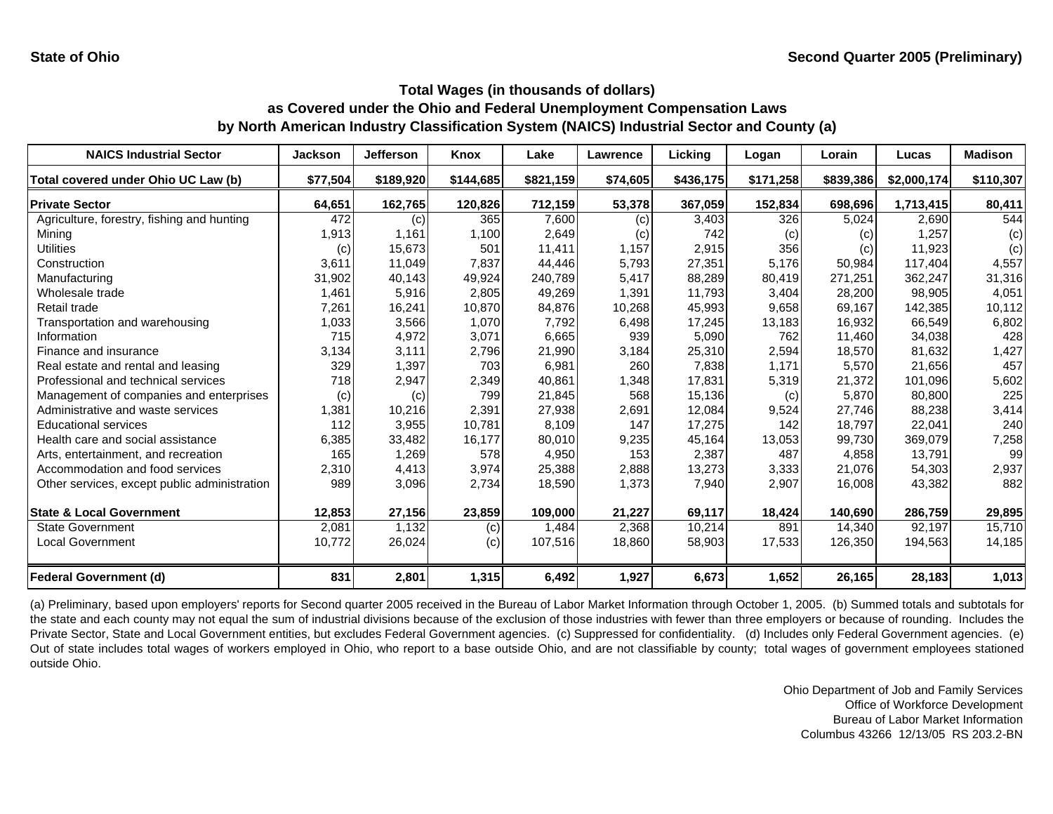| <b>NAICS Industrial Sector</b>               | <b>Jackson</b> | <b>Jefferson</b> | Knox      | Lake      | Lawrence | Licking   | Logan     | Lorain    | Lucas       | <b>Madison</b> |
|----------------------------------------------|----------------|------------------|-----------|-----------|----------|-----------|-----------|-----------|-------------|----------------|
| Total covered under Ohio UC Law (b)          | \$77,504       | \$189,920        | \$144,685 | \$821,159 | \$74,605 | \$436,175 | \$171,258 | \$839,386 | \$2,000,174 | \$110,307      |
| <b>Private Sector</b>                        | 64,651         | 162,765          | 120,826   | 712,159   | 53,378   | 367,059   | 152,834   | 698,696   | 1,713,415   | 80,411         |
| Agriculture, forestry, fishing and hunting   | 472            | (c)              | 365       | 7,600     | (c)      | 3,403     | 326       | 5,024     | 2,690       | 544            |
| Mining                                       | 1,913          | 1,161            | 1,100     | 2,649     | (c)      | 742       | (c)       | (c)       | 1,257       | (c)            |
| <b>Utilities</b>                             | (c)            | 15,673           | 501       | 11,411    | 1,157    | 2,915     | 356       | (c)       | 11,923      | (c)            |
| Construction                                 | 3,611          | 11,049           | 7,837     | 44,446    | 5,793    | 27,351    | 5,176     | 50,984    | 117,404     | 4,557          |
| Manufacturing                                | 31,902         | 40,143           | 49,924    | 240,789   | 5,417    | 88,289    | 80,419    | 271,251   | 362,247     | 31,316         |
| Wholesale trade                              | 1,461          | 5,916            | 2,805     | 49,269    | 1,391    | 11,793    | 3,404     | 28,200    | 98,905      | 4,051          |
| Retail trade                                 | 7,261          | 16,241           | 10,870    | 84,876    | 10,268   | 45,993    | 9,658     | 69,167    | 142,385     | 10,112         |
| Transportation and warehousing               | 1,033          | 3,566            | 1,070     | 7,792     | 6,498    | 17,245    | 13,183    | 16,932    | 66,549      | 6,802          |
| Information                                  | 715            | 4,972            | 3,071     | 6,665     | 939      | 5,090     | 762       | 11,460    | 34,038      | 428            |
| Finance and insurance                        | 3,134          | 3,111            | 2,796     | 21,990    | 3,184    | 25,310    | 2,594     | 18,570    | 81,632      | 1,427          |
| Real estate and rental and leasing           | 329            | 1,397            | 703       | 6,981     | 260      | 7,838     | 1,171     | 5,570     | 21,656      | 457            |
| Professional and technical services          | 718            | 2,947            | 2,349     | 40,861    | 1,348    | 17,831    | 5,319     | 21,372    | 101,096     | 5,602          |
| Management of companies and enterprises      | (c)            | (c)              | 799       | 21,845    | 568      | 15,136    | (c)       | 5,870     | 80,800      | 225            |
| Administrative and waste services            | 1,381          | 10,216           | 2,391     | 27,938    | 2,691    | 12,084    | 9,524     | 27,746    | 88,238      | 3,414          |
| <b>Educational services</b>                  | 112            | 3,955            | 10.781    | 8,109     | 147      | 17,275    | 142       | 18,797    | 22,041      | 240            |
| Health care and social assistance            | 6,385          | 33,482           | 16,177    | 80,010    | 9,235    | 45,164    | 13,053    | 99,730    | 369,079     | 7,258          |
| Arts, entertainment, and recreation          | 165            | 1,269            | 578       | 4,950     | 153      | 2,387     | 487       | 4.858     | 13,791      | 99             |
| Accommodation and food services              | 2,310          | 4,413            | 3,974     | 25,388    | 2,888    | 13,273    | 3,333     | 21,076    | 54,303      | 2,937          |
| Other services, except public administration | 989            | 3,096            | 2,734     | 18,590    | 1,373    | 7,940     | 2,907     | 16,008    | 43,382      | 882            |
| <b>State &amp; Local Government</b>          | 12,853         | 27,156           | 23,859    | 109,000   | 21,227   | 69,117    | 18,424    | 140,690   | 286,759     | 29,895         |
| <b>State Government</b>                      | 2,081          | 1,132            | (c)       | 1,484     | 2,368    | 10,214    | 891       | 14,340    | 92,197      | 15,710         |
| <b>Local Government</b>                      | 10,772         | 26,024           | (c)       | 107,516   | 18,860   | 58,903    | 17,533    | 126,350   | 194,563     | 14,185         |
| <b>Federal Government (d)</b>                | 831            | 2,801            | 1,315     | 6,492     | 1,927    | 6,673     | 1,652     | 26,165    | 28,183      | 1,013          |

(a) Preliminary, based upon employers' reports for Second quarter 2005 received in the Bureau of Labor Market Information through October 1, 2005. (b) Summed totals and subtotals for the state and each county may not equal the sum of industrial divisions because of the exclusion of those industries with fewer than three employers or because of rounding. Includes the Private Sector, State and Local Government entities, but excludes Federal Government agencies. (c) Suppressed for confidentiality. (d) Includes only Federal Government agencies. (e) Out of state includes total wages of workers employed in Ohio, who report to a base outside Ohio, and are not classifiable by county; total wages of government employees stationed outside Ohio.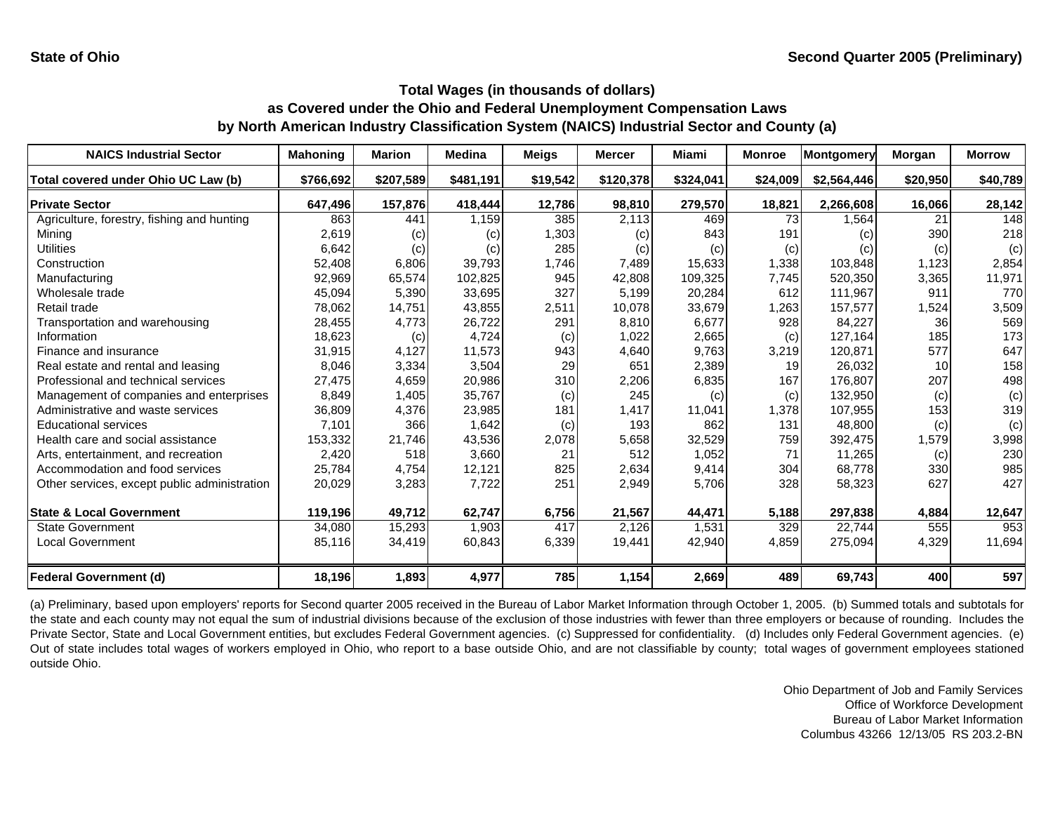| <b>NAICS Industrial Sector</b>               | <b>Mahoning</b> | <b>Marion</b> | <b>Medina</b> | <b>Meigs</b> | <b>Mercer</b> | Miami     | <b>Monroe</b> | <b>Montgomery</b> | Morgan   | <b>Morrow</b> |
|----------------------------------------------|-----------------|---------------|---------------|--------------|---------------|-----------|---------------|-------------------|----------|---------------|
| Total covered under Ohio UC Law (b)          | \$766,692       | \$207,589     | \$481,191     | \$19,542     | \$120,378     | \$324,041 | \$24,009      | \$2,564,446       | \$20,950 | \$40,789      |
| <b>Private Sector</b>                        | 647,496         | 157,876       | 418,444       | 12,786       | 98,810        | 279,570   | 18,821        | 2,266,608         | 16,066   | 28,142        |
| Agriculture, forestry, fishing and hunting   | 863             | 441           | 1,159         | 385          | 2,113         | 469       | 73            | 1,564             | 21       | 148           |
| Mining                                       | 2,619           | (c)           | (c)           | 1,303        | (c)           | 843       | 191           | (c)               | 390      | 218           |
| <b>Utilities</b>                             | 6,642           | (c)           | (c)           | 285          | (c)           | (c)       | (c)           | (c)               | (c)      | (c)           |
| Construction                                 | 52,408          | 6,806         | 39,793        | 1,746        | 7,489         | 15,633    | 1,338         | 103,848           | 1,123    | 2,854         |
| Manufacturing                                | 92,969          | 65,574        | 102,825       | 945          | 42,808        | 109,325   | 7,745         | 520,350           | 3,365    | 11,971        |
| Wholesale trade                              | 45,094          | 5,390         | 33,695        | 327          | 5,199         | 20,284    | 612           | 111,967           | 911      | 770           |
| Retail trade                                 | 78,062          | 14,751        | 43,855        | 2,511        | 10,078        | 33,679    | 1,263         | 157,577           | 1,524    | 3,509         |
| Transportation and warehousing               | 28,455          | 4,773         | 26,722        | 291          | 8,810         | 6,677     | 928           | 84,227            | 36       | 569           |
| Information                                  | 18,623          | (c)           | 4,724         | (c)          | 1,022         | 2,665     | (c)           | 127,164           | 185      | 173           |
| Finance and insurance                        | 31,915          | 4,127         | 11,573        | 943          | 4,640         | 9,763     | 3,219         | 120,871           | 577      | 647           |
| Real estate and rental and leasing           | 8,046           | 3,334         | 3,504         | 29           | 651           | 2,389     | 19            | 26,032            | 10       | 158           |
| Professional and technical services          | 27,475          | 4,659         | 20,986        | 310          | 2,206         | 6,835     | 167           | 176,807           | 207      | 498           |
| Management of companies and enterprises      | 8,849           | 1,405         | 35,767        | (c)          | 245           | (c)       | (c)           | 132,950           | (c)      | (c)           |
| Administrative and waste services            | 36,809          | 4,376         | 23,985        | 181          | 1,417         | 11,041    | 1,378         | 107,955           | 153      | 319           |
| <b>Educational services</b>                  | 7,101           | 366           | 1,642         | (c)          | 193           | 862       | 131           | 48,800            | (c)      | (c)           |
| Health care and social assistance            | 153,332         | 21,746        | 43,536        | 2,078        | 5,658         | 32,529    | 759           | 392,475           | 1,579    | 3,998         |
| Arts, entertainment, and recreation          | 2,420           | 518           | 3,660         | 21           | 512           | 1,052     | 71            | 11,265            | (c)      | 230           |
| Accommodation and food services              | 25,784          | 4,754         | 12,121        | 825          | 2,634         | 9,414     | 304           | 68,778            | 330      | 985           |
| Other services, except public administration | 20,029          | 3,283         | 7,722         | 251          | 2,949         | 5,706     | 328           | 58,323            | 627      | 427           |
| <b>State &amp; Local Government</b>          | 119,196         | 49,712        | 62,747        | 6,756        | 21,567        | 44,471    | 5,188         | 297,838           | 4,884    | 12,647        |
| <b>State Government</b>                      | 34,080          | 15,293        | 1,903         | 417          | 2,126         | 1,531     | 329           | 22,744            | 555      | 953           |
| <b>Local Government</b>                      | 85,116          | 34,419        | 60,843        | 6,339        | 19,441        | 42,940    | 4,859         | 275,094           | 4,329    | 11,694        |
| <b>Federal Government (d)</b>                | 18,196          | 1,893         | 4,977         | 785          | 1,154         | 2,669     | 489           | 69,743            | 400      | 597           |

(a) Preliminary, based upon employers' reports for Second quarter 2005 received in the Bureau of Labor Market Information through October 1, 2005. (b) Summed totals and subtotals for the state and each county may not equal the sum of industrial divisions because of the exclusion of those industries with fewer than three employers or because of rounding. Includes the Private Sector, State and Local Government entities, but excludes Federal Government agencies. (c) Suppressed for confidentiality. (d) Includes only Federal Government agencies. (e) Out of state includes total wages of workers employed in Ohio, who report to a base outside Ohio, and are not classifiable by county; total wages of government employees stationed outside Ohio.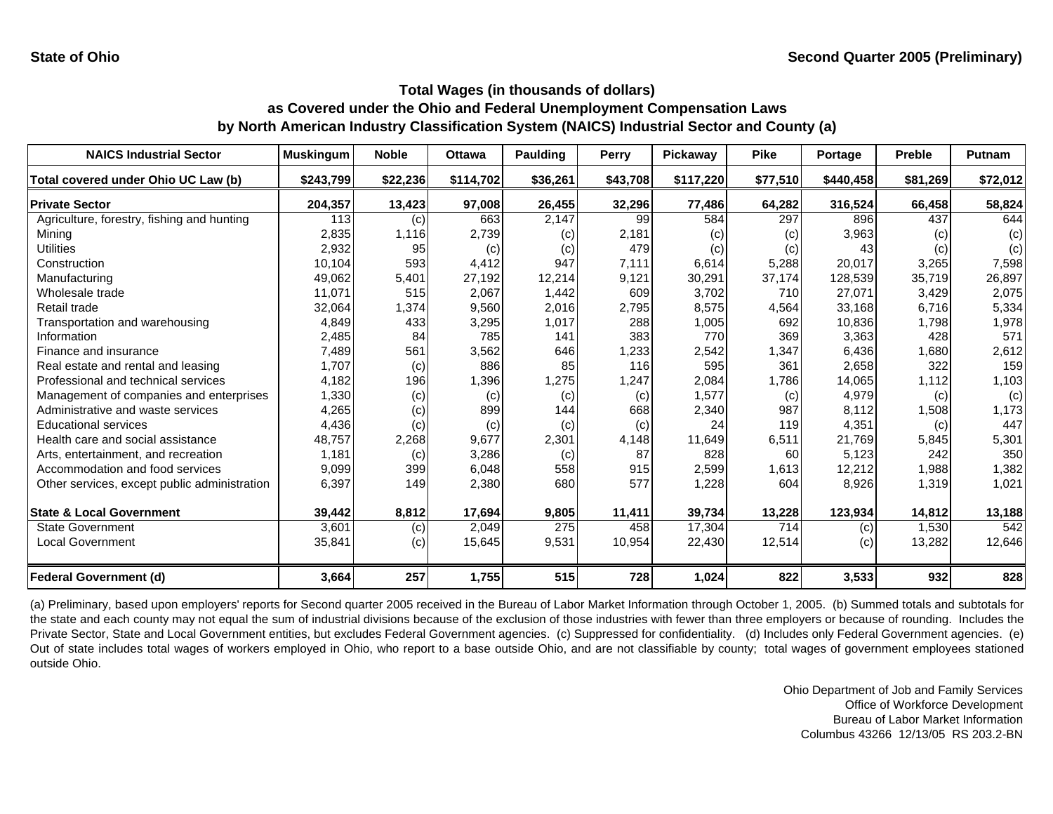| <b>NAICS Industrial Sector</b>               | <b>Muskingum</b> | <b>Noble</b> | <b>Ottawa</b> | <b>Paulding</b>   | Perry    | Pickaway  | <b>Pike</b> | Portage   | <b>Preble</b> | <b>Putnam</b> |
|----------------------------------------------|------------------|--------------|---------------|-------------------|----------|-----------|-------------|-----------|---------------|---------------|
| Total covered under Ohio UC Law (b)          | \$243,799        | \$22,236     | \$114,702     | \$36,261          | \$43,708 | \$117,220 | \$77,510    | \$440,458 | \$81,269      | \$72,012      |
| <b>Private Sector</b>                        | 204,357          | 13,423       | 97,008        | 26,455            | 32,296   | 77,486    | 64,282      | 316,524   | 66,458        | 58,824        |
| Agriculture, forestry, fishing and hunting   | 113              | (c)          | 663           | 2,147             | 99       | 584       | 297         | 896       | 437           | 644           |
| Mining                                       | 2,835            | 1,116        | 2,739         | $\left( c\right)$ | 2,181    | (c)       | (c)         | 3,963     | (c)           | (c)           |
| Utilities                                    | 2,932            | 95           | (c)           | (c)               | 479      | (c)       | (c)         | 43        | (c)           | (c)           |
| Construction                                 | 10,104           | 593          | 4,412         | 947               | 7,111    | 6,614     | 5,288       | 20,017    | 3,265         | 7,598         |
| Manufacturing                                | 49,062           | 5,401        | 27,192        | 12,214            | 9,121    | 30,291    | 37,174      | 128,539   | 35,719        | 26,897        |
| Wholesale trade                              | 11,071           | 515          | 2,067         | 1,442             | 609      | 3,702     | 710         | 27,071    | 3,429         | 2,075         |
| Retail trade                                 | 32,064           | 1,374        | 9,560         | 2,016             | 2,795    | 8,575     | 4,564       | 33,168    | 6,716         | 5,334         |
| Transportation and warehousing               | 4,849            | 433          | 3,295         | 1,017             | 288      | 1,005     | 692         | 10,836    | 1,798         | 1,978         |
| Information                                  | 2,485            | 84           | 785           | 141               | 383      | 770       | 369         | 3,363     | 428           | 571           |
| Finance and insurance                        | 7,489            | 561          | 3,562         | 646               | 1,233    | 2,542     | 1,347       | 6,436     | 1,680         | 2,612         |
| Real estate and rental and leasing           | 1,707            | (c)          | 886           | 85                | 116      | 595       | 361         | 2,658     | 322           | 159           |
| Professional and technical services          | 4,182            | 196          | 1,396         | 1,275             | 1,247    | 2,084     | 1,786       | 14,065    | 1,112         | 1,103         |
| Management of companies and enterprises      | 1,330            | (c)          | (c)           | (c)               | (c)      | 1,577     | (c)         | 4,979     | (c)           | (c)           |
| Administrative and waste services            | 4,265            | (c)          | 899           | 144               | 668      | 2,340     | 987         | 8,112     | 1,508         | 1,173         |
| <b>Educational services</b>                  | 4,436            | (c)          | (c)           | (c)               | (c)      | 24        | 119         | 4,351     | (c)           | 447           |
| Health care and social assistance            | 48,757           | 2,268        | 9,677         | 2,301             | 4,148    | 11,649    | 6,511       | 21,769    | 5,845         | 5,301         |
| Arts, entertainment, and recreation          | 1,181            | (c)          | 3,286         | (c)               | 87       | 828       | 60          | 5,123     | 242           | 350           |
| Accommodation and food services              | 9,099            | 399          | 6,048         | 558               | 915      | 2,599     | 1,613       | 12,212    | 1,988         | 1,382         |
| Other services, except public administration | 6,397            | 149          | 2,380         | 680               | 577      | 1,228     | 604         | 8,926     | 1,319         | 1,021         |
| <b>State &amp; Local Government</b>          | 39,442           | 8,812        | 17,694        | 9,805             | 11,411   | 39,734    | 13,228      | 123,934   | 14,812        | 13,188        |
| <b>State Government</b>                      | 3,601            | (c)          | 2,049         | 275               | 458      | 17,304    | 714         | (c)       | 1,530         | 542           |
| <b>Local Government</b>                      | 35,841           | (c)          | 15,645        | 9,531             | 10,954   | 22,430    | 12,514      | (c)       | 13,282        | 12,646        |
| Federal Government (d)                       | 3,664            | 257          | 1,755         | 515               | 728      | 1,024     | 822         | 3,533     | 932           | 828           |

(a) Preliminary, based upon employers' reports for Second quarter 2005 received in the Bureau of Labor Market Information through October 1, 2005. (b) Summed totals and subtotals for the state and each county may not equal the sum of industrial divisions because of the exclusion of those industries with fewer than three employers or because of rounding. Includes the Private Sector, State and Local Government entities, but excludes Federal Government agencies. (c) Suppressed for confidentiality. (d) Includes only Federal Government agencies. (e) Out of state includes total wages of workers employed in Ohio, who report to a base outside Ohio, and are not classifiable by county; total wages of government employees stationed outside Ohio.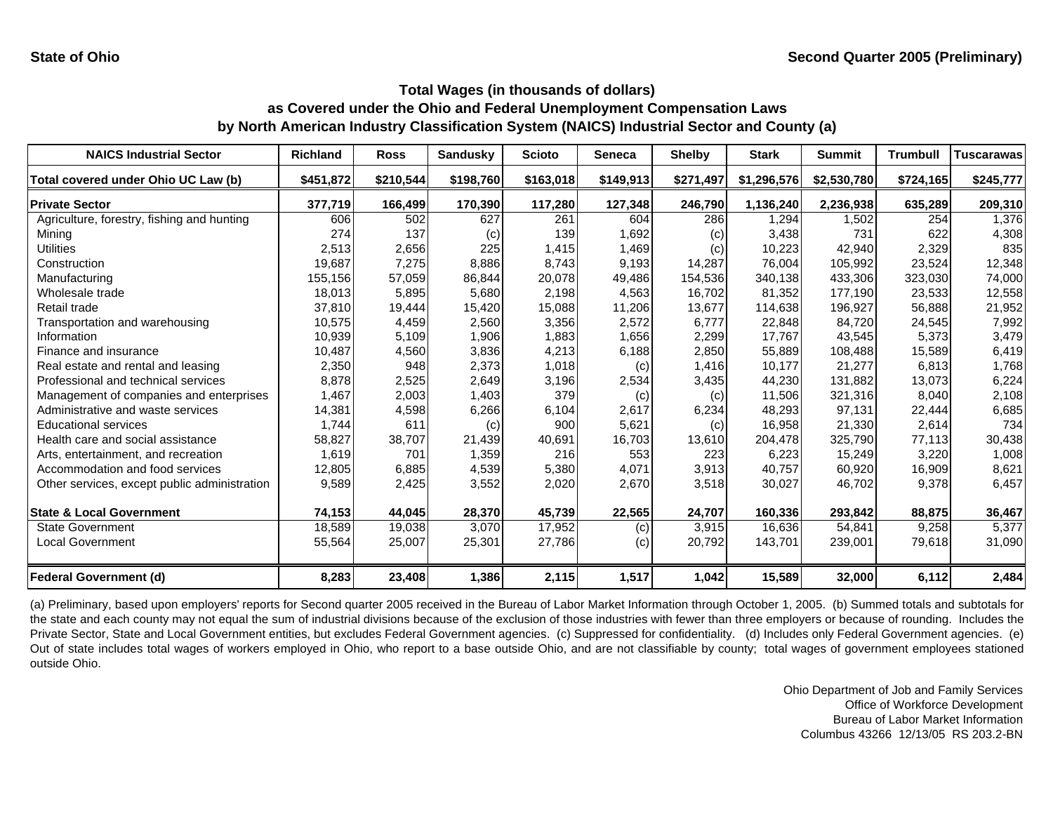| <b>NAICS Industrial Sector</b>               | <b>Richland</b> | <b>Ross</b> | <b>Sandusky</b> | <b>Scioto</b> | <b>Seneca</b> | <b>Shelby</b> | <b>Stark</b> | <b>Summit</b> | <b>Trumbull</b> | <b>Tuscarawas</b> |
|----------------------------------------------|-----------------|-------------|-----------------|---------------|---------------|---------------|--------------|---------------|-----------------|-------------------|
| Total covered under Ohio UC Law (b)          | \$451,872       | \$210,544   | \$198,760       | \$163,018     | \$149,913     | \$271,497     | \$1,296,576  | \$2,530,780   | \$724,165       | \$245,777         |
| <b>Private Sector</b>                        | 377,719         | 166,499     | 170,390         | 117,280       | 127,348       | 246,790       | 1,136,240    | 2,236,938     | 635,289         | 209,310           |
| Agriculture, forestry, fishing and hunting   | 606             | 502         | 627             | 261           | 604           | 286           | 1,294        | 1,502         | 254             | 1,376             |
| Mining                                       | 274             | 137         | (c)             | 139           | 1,692         | (c)           | 3,438        | 731           | 622             | 4,308             |
| <b>Utilities</b>                             | 2,513           | 2,656       | 225             | 1,415         | 1,469         | (c)           | 10,223       | 42,940        | 2,329           | 835               |
| Construction                                 | 19,687          | 7,275       | 8,886           | 8,743         | 9,193         | 14,287        | 76,004       | 105,992       | 23,524          | 12,348            |
| Manufacturing                                | 155,156         | 57,059      | 86,844          | 20,078        | 49,486        | 154,536       | 340,138      | 433,306       | 323,030         | 74,000            |
| Wholesale trade                              | 18,013          | 5,895       | 5,680           | 2,198         | 4,563         | 16,702        | 81,352       | 177,190       | 23,533          | 12,558            |
| Retail trade                                 | 37,810          | 19,444      | 15,420          | 15,088        | 11,206        | 13,677        | 114,638      | 196,927       | 56,888          | 21,952            |
| Transportation and warehousing               | 10,575          | 4,459       | 2,560           | 3,356         | 2,572         | 6.777         | 22,848       | 84,720        | 24,545          | 7,992             |
| Information                                  | 10,939          | 5,109       | 1,906           | 1,883         | 1,656         | 2,299         | 17,767       | 43,545        | 5,373           | 3,479             |
| Finance and insurance                        | 10,487          | 4,560       | 3,836           | 4,213         | 6,188         | 2,850         | 55,889       | 108,488       | 15,589          | 6,419             |
| Real estate and rental and leasing           | 2,350           | 948         | 2,373           | 1,018         | (c)           | 1,416         | 10,177       | 21,277        | 6,813           | 1,768             |
| Professional and technical services          | 8,878           | 2,525       | 2,649           | 3,196         | 2,534         | 3,435         | 44,230       | 131,882       | 13,073          | 6,224             |
| Management of companies and enterprises      | 1,467           | 2,003       | 1,403           | 379           | (c)           | (c)           | 11,506       | 321,316       | 8,040           | 2,108             |
| Administrative and waste services            | 14,381          | 4,598       | 6,266           | 6,104         | 2,617         | 6,234         | 48,293       | 97,131        | 22,444          | 6,685             |
| <b>Educational services</b>                  | 1,744           | 611         | (c)             | 900           | 5,621         | (c)           | 16,958       | 21,330        | 2,614           | 734               |
| Health care and social assistance            | 58,827          | 38,707      | 21,439          | 40,691        | 16,703        | 13,610        | 204,478      | 325,790       | 77,113          | 30,438            |
| Arts, entertainment, and recreation          | 1,619           | 701         | 1,359           | 216           | 553           | 223           | 6,223        | 15,249        | 3,220           | 1,008             |
| Accommodation and food services              | 12,805          | 6,885       | 4,539           | 5,380         | 4,071         | 3,913         | 40,757       | 60,920        | 16,909          | 8,621             |
| Other services, except public administration | 9,589           | 2,425       | 3,552           | 2,020         | 2,670         | 3,518         | 30,027       | 46,702        | 9,378           | 6,457             |
| <b>State &amp; Local Government</b>          | 74,153          | 44,045      | 28,370          | 45,739        | 22,565        | 24,707        | 160,336      | 293,842       | 88,875          | 36,467            |
| <b>State Government</b>                      | 18,589          | 19,038      | 3,070           | 17,952        | (c)           | 3,915         | 16,636       | 54,841        | 9,258           | 5,377             |
| <b>Local Government</b>                      | 55,564          | 25,007      | 25,301          | 27,786        | (c)           | 20,792        | 143,701      | 239,001       | 79,618          | 31,090            |
| Federal Government (d)                       | 8,283           | 23,408      | 1,386           | 2,115         | 1,517         | 1,042         | 15,589       | 32,000        | 6,112           | 2,484             |

(a) Preliminary, based upon employers' reports for Second quarter 2005 received in the Bureau of Labor Market Information through October 1, 2005. (b) Summed totals and subtotals for the state and each county may not equal the sum of industrial divisions because of the exclusion of those industries with fewer than three employers or because of rounding. Includes the Private Sector, State and Local Government entities, but excludes Federal Government agencies. (c) Suppressed for confidentiality. (d) Includes only Federal Government agencies. (e) Out of state includes total wages of workers employed in Ohio, who report to a base outside Ohio, and are not classifiable by county; total wages of government employees stationed outside Ohio.